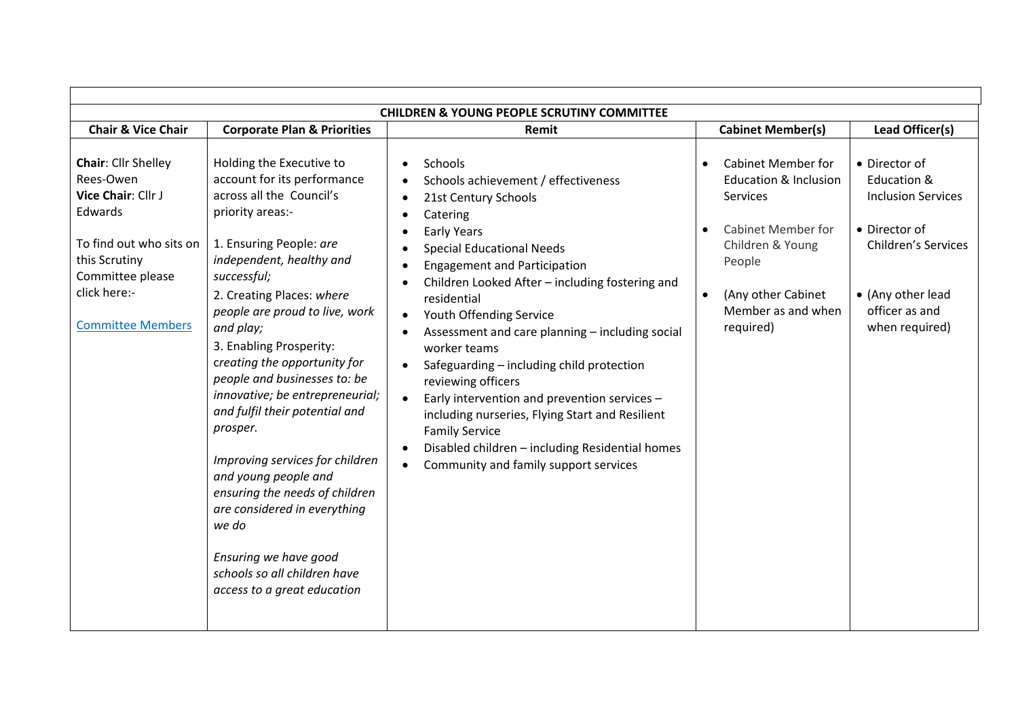| <b>CHILDREN &amp; YOUNG PEOPLE SCRUTINY COMMITTEE</b>                                                                                                                         |                                                                                                                                                                                                                                                                                                                                                                                                                                                                                                                                                                                                                                                                     |                                                                                                                                                                                                                                                                                                                                                                                                                                                                                                                                                                                                                                                                                                                              |                                                                                                                                                                                                      |                                                                                                                                                                   |  |  |  |
|-------------------------------------------------------------------------------------------------------------------------------------------------------------------------------|---------------------------------------------------------------------------------------------------------------------------------------------------------------------------------------------------------------------------------------------------------------------------------------------------------------------------------------------------------------------------------------------------------------------------------------------------------------------------------------------------------------------------------------------------------------------------------------------------------------------------------------------------------------------|------------------------------------------------------------------------------------------------------------------------------------------------------------------------------------------------------------------------------------------------------------------------------------------------------------------------------------------------------------------------------------------------------------------------------------------------------------------------------------------------------------------------------------------------------------------------------------------------------------------------------------------------------------------------------------------------------------------------------|------------------------------------------------------------------------------------------------------------------------------------------------------------------------------------------------------|-------------------------------------------------------------------------------------------------------------------------------------------------------------------|--|--|--|
| <b>Chair &amp; Vice Chair</b>                                                                                                                                                 | <b>Corporate Plan &amp; Priorities</b>                                                                                                                                                                                                                                                                                                                                                                                                                                                                                                                                                                                                                              | Remit                                                                                                                                                                                                                                                                                                                                                                                                                                                                                                                                                                                                                                                                                                                        | <b>Cabinet Member(s)</b>                                                                                                                                                                             | Lead Officer(s)                                                                                                                                                   |  |  |  |
| Chair: Cllr Shelley<br>Rees-Owen<br>Vice Chair: Cllr J<br>Edwards<br>To find out who sits on<br>this Scrutiny<br>Committee please<br>click here:-<br><b>Committee Members</b> | Holding the Executive to<br>account for its performance<br>across all the Council's<br>priority areas:-<br>1. Ensuring People: are<br>independent, healthy and<br>successful;<br>2. Creating Places: where<br>people are proud to live, work<br>and play;<br>3. Enabling Prosperity:<br>creating the opportunity for<br>people and businesses to: be<br>innovative; be entrepreneurial;<br>and fulfil their potential and<br>prosper.<br>Improving services for children<br>and young people and<br>ensuring the needs of children<br>are considered in everything<br>we do<br>Ensuring we have good<br>schools so all children have<br>access to a great education | Schools<br>$\bullet$<br>Schools achievement / effectiveness<br>21st Century Schools<br>Catering<br>$\bullet$<br><b>Early Years</b><br>$\bullet$<br><b>Special Educational Needs</b><br><b>Engagement and Participation</b><br>$\bullet$<br>Children Looked After - including fostering and<br>residential<br>Youth Offending Service<br>$\bullet$<br>Assessment and care planning - including social<br>worker teams<br>Safeguarding - including child protection<br>reviewing officers<br>Early intervention and prevention services -<br>including nurseries, Flying Start and Resilient<br><b>Family Service</b><br>Disabled children - including Residential homes<br>$\bullet$<br>Community and family support services | <b>Cabinet Member for</b><br><b>Education &amp; Inclusion</b><br><b>Services</b><br><b>Cabinet Member for</b><br>Children & Young<br>People<br>(Any other Cabinet<br>Member as and when<br>required) | • Director of<br>Education &<br><b>Inclusion Services</b><br>• Director of<br><b>Children's Services</b><br>• (Any other lead<br>officer as and<br>when required) |  |  |  |